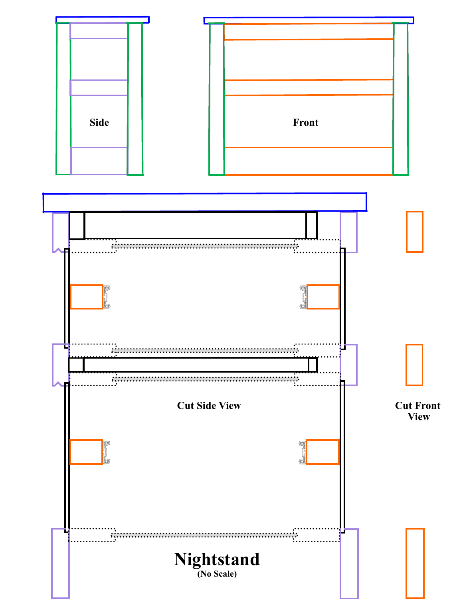

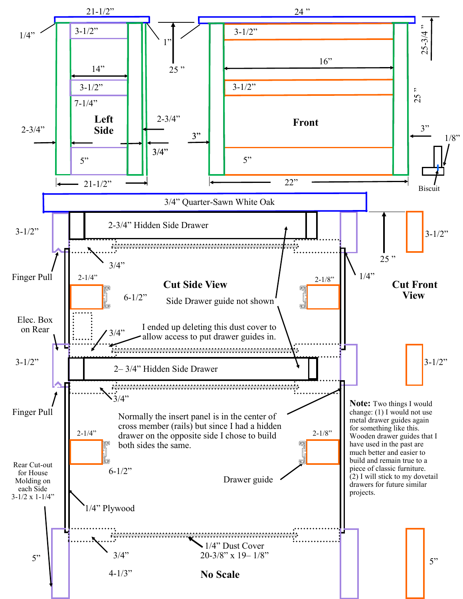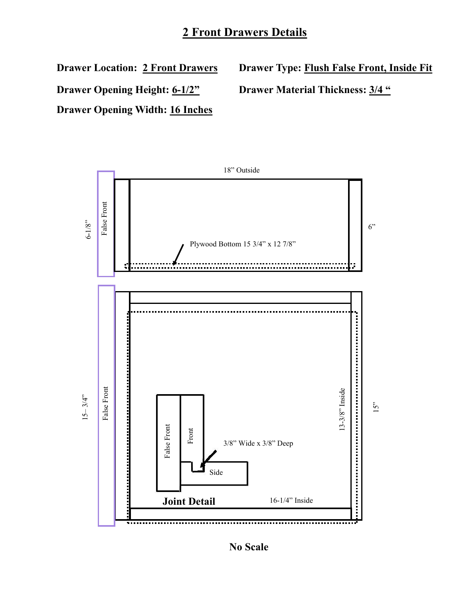## **2 Front Drawers Details**

**Drawer Location: 2 Front Drawers**

**Drawer Opening Height: 6-1/2"**

**Drawer Opening Width: 16 Inches**

**Drawer Type: Flush False Front, Inside Fit**

**Drawer Material Thickness: 3/4 "**



**No Scale**